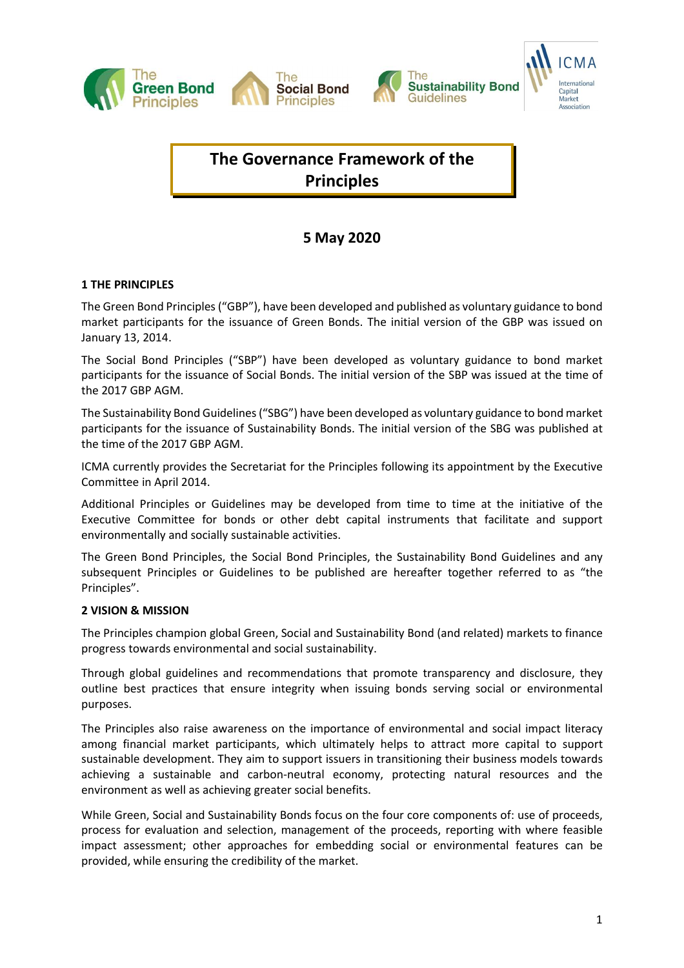





# **The Governance Framework of the Principles**

## **5 May 2020**

### **1 THE PRINCIPLES**

The Green Bond Principles("GBP"), have been developed and published as voluntary guidance to bond market participants for the issuance of Green Bonds. The initial version of the GBP was issued on January 13, 2014.

The Social Bond Principles ("SBP") have been developed as voluntary guidance to bond market participants for the issuance of Social Bonds. The initial version of the SBP was issued at the time of the 2017 GBP AGM.

The Sustainability Bond Guidelines("SBG") have been developed as voluntary guidance to bond market participants for the issuance of Sustainability Bonds. The initial version of the SBG was published at the time of the 2017 GBP AGM.

ICMA currently provides the Secretariat for the Principles following its appointment by the Executive Committee in April 2014.

Additional Principles or Guidelines may be developed from time to time at the initiative of the Executive Committee for bonds or other debt capital instruments that facilitate and support environmentally and socially sustainable activities.

The Green Bond Principles, the Social Bond Principles, the Sustainability Bond Guidelines and any subsequent Principles or Guidelines to be published are hereafter together referred to as "the Principles".

### **2 VISION & MISSION**

The Principles champion global Green, Social and Sustainability Bond (and related) markets to finance progress towards environmental and social sustainability.

Through global guidelines and recommendations that promote transparency and disclosure, they outline best practices that ensure integrity when issuing bonds serving social or environmental purposes.

The Principles also raise awareness on the importance of environmental and social impact literacy among financial market participants, which ultimately helps to attract more capital to support sustainable development. They aim to support issuers in transitioning their business models towards achieving a sustainable and carbon-neutral economy, protecting natural resources and the environment as well as achieving greater social benefits.

While Green, Social and Sustainability Bonds focus on the four core components of: use of proceeds, process for evaluation and selection, management of the proceeds, reporting with where feasible impact assessment; other approaches for embedding social or environmental features can be provided, while ensuring the credibility of the market.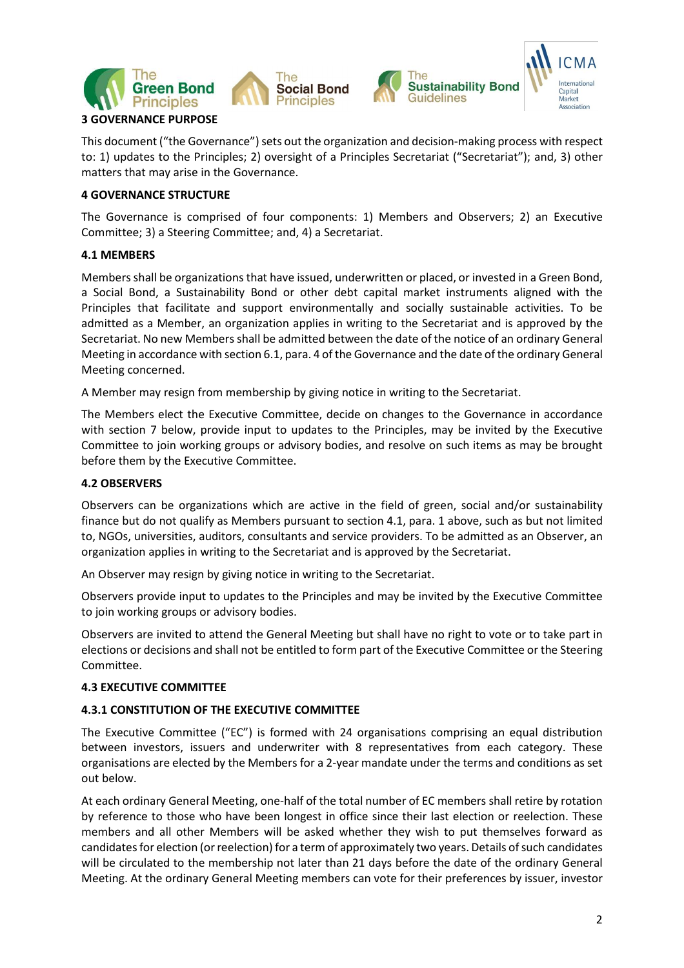



This document ("the Governance") sets out the organization and decision-making process with respect to: 1) updates to the Principles; 2) oversight of a Principles Secretariat ("Secretariat"); and, 3) other matters that may arise in the Governance.

### **4 GOVERNANCE STRUCTURE**

The Governance is comprised of four components: 1) Members and Observers; 2) an Executive Committee; 3) a Steering Committee; and, 4) a Secretariat.

### **4.1 MEMBERS**

Members shall be organizations that have issued, underwritten or placed, or invested in a Green Bond, a Social Bond, a Sustainability Bond or other debt capital market instruments aligned with the Principles that facilitate and support environmentally and socially sustainable activities. To be admitted as a Member, an organization applies in writing to the Secretariat and is approved by the Secretariat. No new Members shall be admitted between the date of the notice of an ordinary General Meeting in accordance with section 6.1, para. 4 of the Governance and the date ofthe ordinary General Meeting concerned.

A Member may resign from membership by giving notice in writing to the Secretariat.

The Members elect the Executive Committee, decide on changes to the Governance in accordance with section 7 below, provide input to updates to the Principles, may be invited by the Executive Committee to join working groups or advisory bodies, and resolve on such items as may be brought before them by the Executive Committee.

### **4.2 OBSERVERS**

Observers can be organizations which are active in the field of green, social and/or sustainability finance but do not qualify as Members pursuant to section 4.1, para. 1 above, such as but not limited to, NGOs, universities, auditors, consultants and service providers. To be admitted as an Observer, an organization applies in writing to the Secretariat and is approved by the Secretariat.

An Observer may resign by giving notice in writing to the Secretariat.

Observers provide input to updates to the Principles and may be invited by the Executive Committee to join working groups or advisory bodies.

Observers are invited to attend the General Meeting but shall have no right to vote or to take part in elections or decisions and shall not be entitled to form part of the Executive Committee or the Steering Committee.

### **4.3 EXECUTIVE COMMITTEE**

### **4.3.1 CONSTITUTION OF THE EXECUTIVE COMMITTEE**

The Executive Committee ("EC") is formed with 24 organisations comprising an equal distribution between investors, issuers and underwriter with 8 representatives from each category. These organisations are elected by the Members for a 2-year mandate under the terms and conditions as set out below.

At each ordinary General Meeting, one-half of the total number of EC members shall retire by rotation by reference to those who have been longest in office since their last election or reelection. These members and all other Members will be asked whether they wish to put themselves forward as candidates for election (or reelection) for a term of approximately two years. Details of such candidates will be circulated to the membership not later than 21 days before the date of the ordinary General Meeting. At the ordinary General Meeting members can vote for their preferences by issuer, investor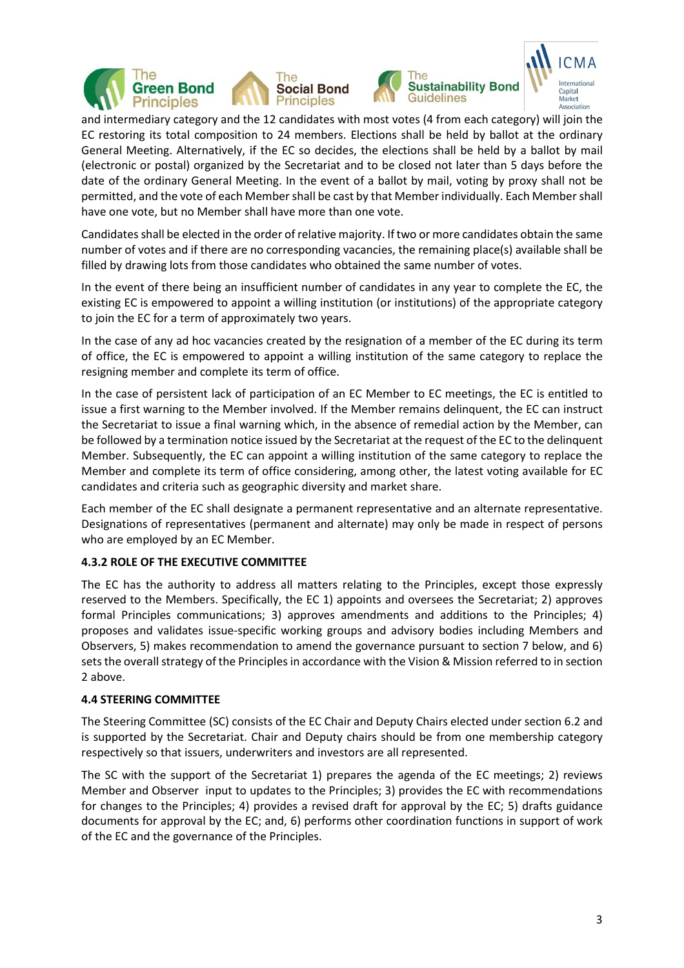







and intermediary category and the 12 candidates with most votes (4 from each category) will join the EC restoring its total composition to 24 members. Elections shall be held by ballot at the ordinary General Meeting. Alternatively, if the EC so decides, the elections shall be held by a ballot by mail (electronic or postal) organized by the Secretariat and to be closed not later than 5 days before the date of the ordinary General Meeting. In the event of a ballot by mail, voting by proxy shall not be permitted, and the vote of each Member shall be cast by that Member individually. Each Member shall have one vote, but no Member shall have more than one vote.

Candidatesshall be elected in the order of relative majority. If two or more candidates obtain the same number of votes and if there are no corresponding vacancies, the remaining place(s) available shall be filled by drawing lots from those candidates who obtained the same number of votes.

In the event of there being an insufficient number of candidates in any year to complete the EC, the existing EC is empowered to appoint a willing institution (or institutions) of the appropriate category to join the EC for a term of approximately two years.

In the case of any ad hoc vacancies created by the resignation of a member of the EC during its term of office, the EC is empowered to appoint a willing institution of the same category to replace the resigning member and complete its term of office.

In the case of persistent lack of participation of an EC Member to EC meetings, the EC is entitled to issue a first warning to the Member involved. If the Member remains delinquent, the EC can instruct the Secretariat to issue a final warning which, in the absence of remedial action by the Member, can be followed by a termination notice issued by the Secretariat at the request of the EC to the delinquent Member. Subsequently, the EC can appoint a willing institution of the same category to replace the Member and complete its term of office considering, among other, the latest voting available for EC candidates and criteria such as geographic diversity and market share.

Each member of the EC shall designate a permanent representative and an alternate representative. Designations of representatives (permanent and alternate) may only be made in respect of persons who are employed by an EC Member.

### **4.3.2 ROLE OF THE EXECUTIVE COMMITTEE**

The EC has the authority to address all matters relating to the Principles, except those expressly reserved to the Members. Specifically, the EC 1) appoints and oversees the Secretariat; 2) approves formal Principles communications; 3) approves amendments and additions to the Principles; 4) proposes and validates issue-specific working groups and advisory bodies including Members and Observers, 5) makes recommendation to amend the governance pursuant to section 7 below, and 6) sets the overall strategy of the Principles in accordance with the Vision & Mission referred to in section 2 above.

### **4.4 STEERING COMMITTEE**

The Steering Committee (SC) consists of the EC Chair and Deputy Chairs elected under section 6.2 and is supported by the Secretariat. Chair and Deputy chairs should be from one membership category respectively so that issuers, underwriters and investors are all represented.

The SC with the support of the Secretariat 1) prepares the agenda of the EC meetings; 2) reviews Member and Observer input to updates to the Principles; 3) provides the EC with recommendations for changes to the Principles; 4) provides a revised draft for approval by the EC; 5) drafts guidance documents for approval by the EC; and, 6) performs other coordination functions in support of work of the EC and the governance of the Principles.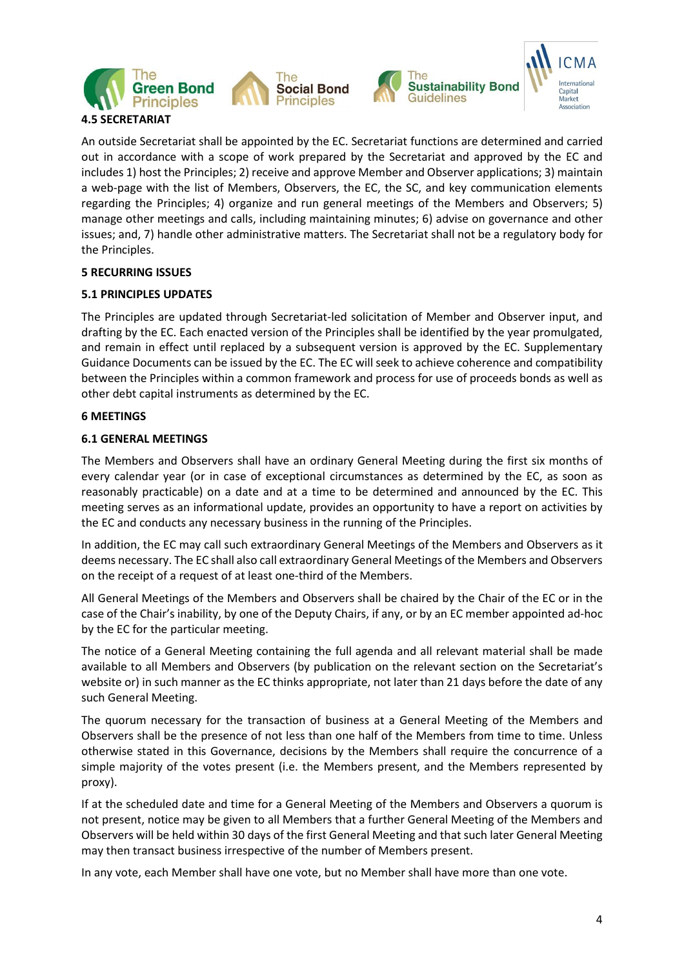



An outside Secretariat shall be appointed by the EC. Secretariat functions are determined and carried out in accordance with a scope of work prepared by the Secretariat and approved by the EC and includes 1) host the Principles; 2) receive and approve Member and Observer applications; 3) maintain a web-page with the list of Members, Observers, the EC, the SC, and key communication elements regarding the Principles; 4) organize and run general meetings of the Members and Observers; 5) manage other meetings and calls, including maintaining minutes; 6) advise on governance and other issues; and, 7) handle other administrative matters. The Secretariat shall not be a regulatory body for the Principles.

### **5 RECURRING ISSUES**

### **5.1 PRINCIPLES UPDATES**

The Principles are updated through Secretariat-led solicitation of Member and Observer input, and drafting by the EC. Each enacted version of the Principles shall be identified by the year promulgated, and remain in effect until replaced by a subsequent version is approved by the EC. Supplementary Guidance Documents can be issued by the EC. The EC will seek to achieve coherence and compatibility between the Principles within a common framework and process for use of proceeds bonds as well as other debt capital instruments as determined by the EC.

### **6 MEETINGS**

### **6.1 GENERAL MEETINGS**

The Members and Observers shall have an ordinary General Meeting during the first six months of every calendar year (or in case of exceptional circumstances as determined by the EC, as soon as reasonably practicable) on a date and at a time to be determined and announced by the EC. This meeting serves as an informational update, provides an opportunity to have a report on activities by the EC and conducts any necessary business in the running of the Principles.

In addition, the EC may call such extraordinary General Meetings of the Members and Observers as it deems necessary. The EC shall also call extraordinary General Meetings of the Members and Observers on the receipt of a request of at least one-third of the Members.

All General Meetings of the Members and Observers shall be chaired by the Chair of the EC or in the case of the Chair's inability, by one of the Deputy Chairs, if any, or by an EC member appointed ad-hoc by the EC for the particular meeting.

The notice of a General Meeting containing the full agenda and all relevant material shall be made available to all Members and Observers (by publication on the relevant section on the Secretariat's website or) in such manner as the EC thinks appropriate, not later than 21 days before the date of any such General Meeting.

The quorum necessary for the transaction of business at a General Meeting of the Members and Observers shall be the presence of not less than one half of the Members from time to time. Unless otherwise stated in this Governance, decisions by the Members shall require the concurrence of a simple majority of the votes present (i.e. the Members present, and the Members represented by proxy).

If at the scheduled date and time for a General Meeting of the Members and Observers a quorum is not present, notice may be given to all Members that a further General Meeting of the Members and Observers will be held within 30 days of the first General Meeting and that such later General Meeting may then transact business irrespective of the number of Members present.

In any vote, each Member shall have one vote, but no Member shall have more than one vote.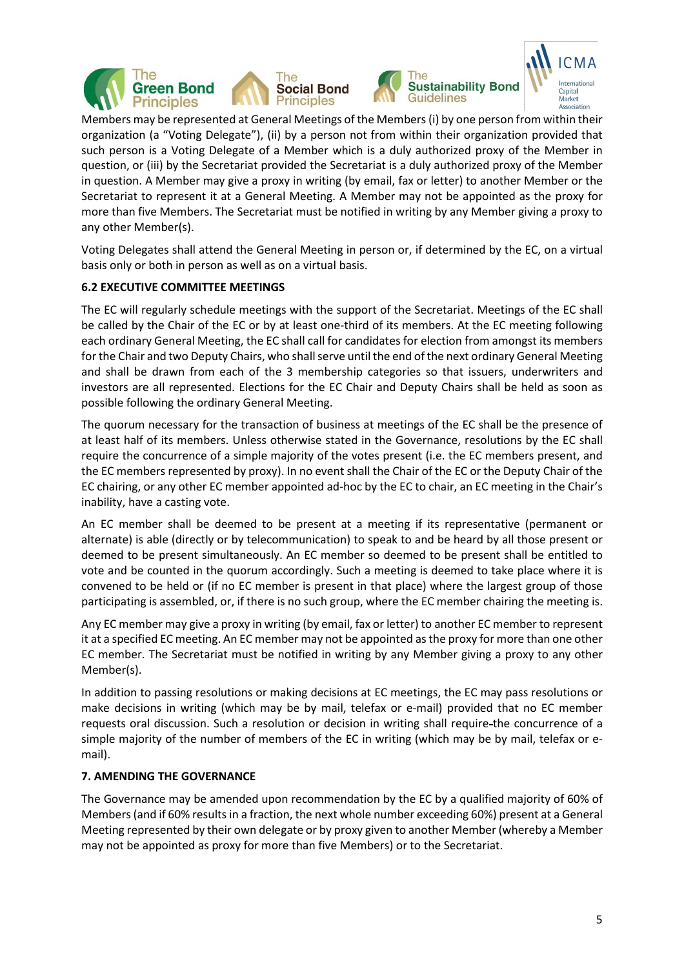



Capital Market Association

Members may be represented at General Meetings of the Members(i) by one person from within their organization (a "Voting Delegate"), (ii) by a person not from within their organization provided that such person is a Voting Delegate of a Member which is a duly authorized proxy of the Member in question, or (iii) by the Secretariat provided the Secretariat is a duly authorized proxy of the Member in question. A Member may give a proxy in writing (by email, fax or letter) to another Member or the Secretariat to represent it at a General Meeting. A Member may not be appointed as the proxy for more than five Members. The Secretariat must be notified in writing by any Member giving a proxy to any other Member(s).

Voting Delegates shall attend the General Meeting in person or, if determined by the EC, on a virtual basis only or both in person as well as on a virtual basis.

### **6.2 EXECUTIVE COMMITTEE MEETINGS**

The EC will regularly schedule meetings with the support of the Secretariat. Meetings of the EC shall be called by the Chair of the EC or by at least one-third of its members. At the EC meeting following each ordinary General Meeting, the EC shall call for candidates for election from amongst its members for the Chair and two Deputy Chairs, who shall serve until the end of the next ordinary General Meeting and shall be drawn from each of the 3 membership categories so that issuers, underwriters and investors are all represented. Elections for the EC Chair and Deputy Chairs shall be held as soon as possible following the ordinary General Meeting.

The quorum necessary for the transaction of business at meetings of the EC shall be the presence of at least half of its members. Unless otherwise stated in the Governance, resolutions by the EC shall require the concurrence of a simple majority of the votes present (i.e. the EC members present, and the EC members represented by proxy). In no event shall the Chair of the EC or the Deputy Chair of the EC chairing, or any other EC member appointed ad-hoc by the EC to chair, an EC meeting in the Chair's inability, have a casting vote.

An EC member shall be deemed to be present at a meeting if its representative (permanent or alternate) is able (directly or by telecommunication) to speak to and be heard by all those present or deemed to be present simultaneously. An EC member so deemed to be present shall be entitled to vote and be counted in the quorum accordingly. Such a meeting is deemed to take place where it is convened to be held or (if no EC member is present in that place) where the largest group of those participating is assembled, or, if there is no such group, where the EC member chairing the meeting is.

Any EC member may give a proxy in writing (by email, fax or letter) to another EC member to represent it at a specified EC meeting. An EC member may not be appointed asthe proxy for more than one other EC member. The Secretariat must be notified in writing by any Member giving a proxy to any other Member(s).

In addition to passing resolutions or making decisions at EC meetings, the EC may pass resolutions or make decisions in writing (which may be by mail, telefax or e-mail) provided that no EC member requests oral discussion. Such a resolution or decision in writing shall require-the concurrence of a simple majority of the number of members of the EC in writing (which may be by mail, telefax or email).

### **7. AMENDING THE GOVERNANCE**

The Governance may be amended upon recommendation by the EC by a qualified majority of 60% of Members(and if 60% results in a fraction, the next whole number exceeding 60%) present at a General Meeting represented by their own delegate or by proxy given to another Member (whereby a Member may not be appointed as proxy for more than five Members) or to the Secretariat.